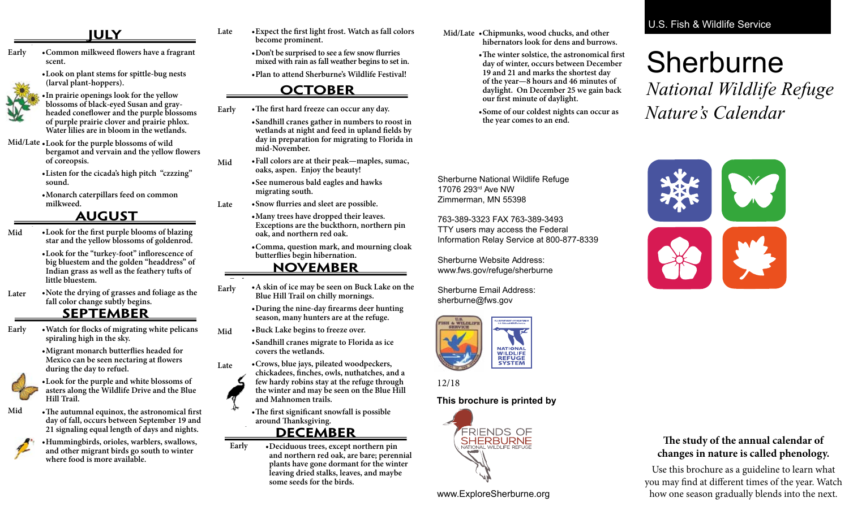# **AUGUST JULY**

**Later • Mid Early • •Common milkweed flowers have a fragrant scent. Early**

> **•Look on plant stems for spittle-bug nests (larval plant-hoppers).**



**Early •**

**• of purple prairie clover and prairie phlox. Mid/Late • Water lilies are in bloom in the wetlands. •In prairie openings look for the yellow blossoms of black-eyed Susan and grayheaded coneflower and the purple blossoms** 

- Loc Loc<br>ber **Mid/Late • •Look for the purple blossoms of wild Mid/Late bergamot and vervain and the yellow flowers of coreopsis.**
	- **•Listen for the cicada's high pitch "czzzing" sound.**
	- **•Monarch caterpillars feed on common milkweed.**

# **AUGUST SEPTEMBER AUGUST**

- •Look for the first purple blooms of blazing<br>star and the vellow blossoms of goldenrod **Mid Early • Mid Mid star and the yellow blossoms of goldenrod.**
	- **Early • •Look for the "turkey-foot" inflorescence of**  big bluestem and the golden "headdress" o<br>Indian grass as well as the feathery tufts of **Early • little bluestem. big bluestem and the golden "headdress" of**
- **Later •** • Note the drying of grasses and foliage as the **fall color change** subtly begins. **fall color change subtly begins. Later**

### **SEPTEMBER**

 $\boldsymbol{\mathrm{Early}}$ **ly** • Watch for flocks of migrating white pelicans **spiraling high in the sky.**

**SEPTEMBER •Migrant monarch butterflies headed for Early • Mexico can be seen nectaring at flowers during the day to refuel.**



**•Look for the purple and white blossoms of asters along the Wildlife Drive and the Blue Hill Trail.**

**Mid Mid**

**Mid**

**Mid**



**•Hummingbirds, orioles, warblers, swallows, and other migrant birds go south to winter where food is more available.**

**Late • Expect the first light frost. Watch as fall colors become prominent. become prominent. SEPTEMBER**

• Don't be surprised to see a few snow flurries **mixed with rain as fall weather begins to set in.**

**•Plan to attend Sherburne's Wildlife Festival!**

### **OCTOBER**

**Early Early •The first hard freeze can occur any day. Mid**

**•Sandhill cranes gather in numbers to roost in wetlands at night and feed in upland fields by day in preparation for migrating to Florida in mid-November.** 

**•Fall colors are at their peak—maples, sumac, oaks, aspen. Enjoy the beauty!**

**•See numerous bald eagles and hawks migrating south.**

**Late •Snow flurries and sleet are possible. Late**

**Mid**

Late

**Late**

**Mid**

•Many trees have dropped their leaves.<br>**Exceptions** are the buckthorn porther **Exceptions are the buckthorn, northern pin cake propriet and northern red oak.** 

**•Comma, question mark, and mourning cloak butterflies begin hibernation.**

### **NOVEMBER <u>OCYLINDER</u>**

- **Early Early Mid Early •A skin of ice may be seen on Buck Lake on the** • A skin of ice may be seen on Buck<br>Blue Hill Trail on chilly mornings. **Early**
	- **•During the nine-day firearms deer hunting**  During the nine-day firearms deer hun<br>season, many hunters are at the refuge.
- **Mid •Buck Lake begins to freeze over.**

**•Sandhill cranes migrate to Florida as ice** covers the wetlands. **covers the wetlands.** 

- **•Crows, blue jays, pileated woodpeckers, chickadees, finches, owls, nuthatches, and a few hardy robins stay at the refuge through the winter and may be seen on the Blue Hill and Mahnomen trails. Late Late Mid Late**
- •The first significant snowfall is possible around Thanksgiving. **around Thanksgiving. Late Early •**

### **DECEMBER**

**Early •** plants have gone dormant for the winter<br> **plants** have gone dormant for the winter **Early • •Deciduous trees, except northern pin and northern red oak, are bare; perennial leaving dried stalks, leaves, and maybe some seeds for the birds.**

- **Mid/Late** •Chipmunks, wood chucks, and other **behaviour** biherrators look for dens and burrow **hibernators look for dens and burrows.**
	- **•The winter solstice, the astronomical first day of winter, occurs between December 19 and 21 and marks the shortest day of the year—8 hours and 46 minutes of daylight. On December 25 we gain back our first minute of daylight.**
	- **•Some of our coldest nights can occur as the year comes to an end.**

### **U.S. Fish & Wildlife Service** *Wildflowers of Sherburne National Wildlife*

#### $\mathsf{R}$  horburne  $\mathsf{R}$ refuge headquarters)**, the Sherburne National Wildlife Refuge** *Wildlife Drive Wildflowers*  **NATURE'S CALENDAR at Sherburne National at Sherburne National Wildlife Refuge Sherburne National**  Sherburne

 $\sigma$  1 1 Vature's Calendar *and Grasses* **and the** *Bird Checklist* (refuge brochures available free of charge)**. Enjoy! Wildlife Refuge The study of the annual calendar of changes The study of the annual calendar of changes**  *National Wildlife Refuge* **in nature is called phenology. Here are some the value of succession in the visit**  $\alpha$  is the visit of  $\alpha$  in  $\alpha$ *Nature's Calendar Nature's Calendar* 

**Wildlife Refuge** *Wildlife Drive Wildflowers and Grasses* **and the** *Bird Checklist* (refuge



Information Relay Service at 800-877-8339 763-389-3323 FAX 763-389-3493<br>TTY users may access the Federal<br>Information Pelay Senvice at 800,877,8339 **DECEMBER DECEMBER** 763-389-3323 FAX 763-389-3493

Sherburne Website Address: www.fws.gov/refuge/sherburne

Sherburne Email Address: **Sherburne Email Address.**<br> **Sherburne@fws.gov isherburne@fws.gov** 



**l**  $\frac{1}{2}$  (1.0) **abbreviated fall can affect timing of natural The study of the annual calendar of changes events, especially bloom times. Watch how**  12/18 **Sherburne National in nature is called phenology. Here are some** 

#### **inis brochure is printed by This brochure is printed by this brochure is printed by**



*and Grasses* **and the** *Bird Checklist* (refuge brochures available free of charge)**. Enjoy! one season gradually blends into the next.** brochures available free of charge)**. Enjoy! long winter, early spring, cold summer, or Helpful companions to this list are:** *Native*  **abbreviated fall can affect the can affect times of natural**  $\mathbf{r}$ *Wildflowers of Sherburne National Wildlife*  www.ExploreSherburne.org



### **The study of the annual calendar of changes in nature is called phenology.**

Use this brochure as a guideline to learn what you may find at different times of the year. Watch how one season gradually blends into the next.